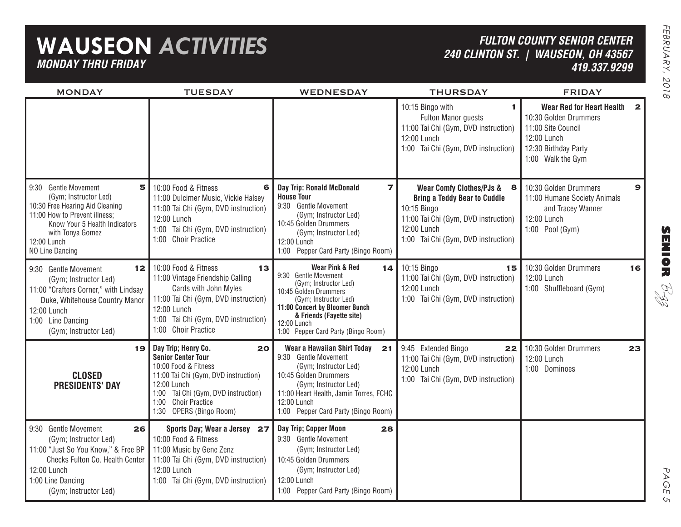## **WAUSEON** *ACTIVITIES MONDAY THRU FRIDAY*

**5**

**12**

**19**

**26**

11:00 Tai Chi (Gym, DVD instruction)

1:00 Tai Chi (Gym, DVD instruction)

12:00 Lunch

MONDAY

9:30 Gentle Movement

9:30 Gentle Movement

12:00 Lunch1:00 Line Dancing

9:30 Gentle Movement

(Gym; Instructor Led) 10:30 Free Hearing Aid Cleaning 11:00 How to Prevent illness;

with Tonya Gomez

Know Your 5 Health Indicators

12:00 Lunch1:00 Line Dancing

12:00 LunchNO Line Dancing

(Gym; Instructor Led) 11:00 "Crafters Corner," with Lindsay Duke, Whitehouse Country Manor

(Gym; Instructor Led)

**CLOSEDPRESIDENTS' DAY**

(Gym; Instructor Led) 11:00 "Just So You Know," & Free BP Checks Fulton Co. Health Center

(Gym; Instructor Led)

## *FULTON COUNTY SENIOR CENTER240 CLINTON ST. | WAUSEON, OH 43567 419.337.9299*

**SENIOR** B-zz TUESDAY WEDNESDAY THURSDAY FRIDAY **1 2 Wear Red for Heart Health 6 7 8 9 Wear Comfy Clothes/PJs & 13 14 15 16** 10:30 Golden Drummers **20 21 22 23 Wear a Hawaiian Shirt Today 27 28 Sports Day; Wear a Jersey Wear Pink & Red**9:30 Gentle Movement (Gym; Instructor Led) 10:45 Golden Drummers (Gym; Instructor Led) **11:00 Concert by Bloomer Bunch & Friends (Fayette site)** 12:00 Lunch 1:00 Pepper Card Party (Bingo Room) **Day Trip: Ronald McDonald House Tour**9:30 Gentle Movement (Gym; Instructor Led) 10:45 Golden Drummers (Gym; Instructor Led) 12:00 Lunch 1:00 Pepper Card Party (Bingo Room) 9:30 Gentle Movement (Gym; Instructor Led) 10:45 Golden Drummers (Gym; Instructor Led) 11:00 Heart Health, Jamin Torres, FCHC 12:00 Lunch1:00 Pepper Card Party (Bingo Room) **Day Trip; Copper Moon** 9:30 Gentle Movement (Gym; Instructor Led) 10:00 Food & Fitness11:00 Vintage Friendship Calling Cards with John Myles 11:00 Tai Chi (Gym, DVD instruction) 12:00 Lunch1:00 Tai Chi (Gym, DVD instruction) 1:00 Choir Practice10:00 Food & Fitness11:00 Dulcimer Music, Vickie Halsey 11:00 Tai Chi (Gym, DVD instruction) 12:00 Lunch1:00 Tai Chi (Gym, DVD instruction) 1:00 Choir Practice**Day Trip; Henry Co. Senior Center Tour**10:00 Food & Fitness11:00 Tai Chi (Gym, DVD instruction) 12:00 Lunch1:00 Tai Chi (Gym, DVD instruction) 1:00 Choir Practice1:30 OPERS (Bingo Room) 10:00 Food & Fitness11:00 Music by Gene Zenz 10:15 Bingo with Fulton Manor guests 11:00 Tai Chi (Gym, DVD instruction) 12:00 Lunch1:00 Tai Chi (Gym, DVD instruction) 10:15 Bingo 11:00 Tai Chi (Gym, DVD instruction) 12:00 Lunch1:00 Tai Chi (Gym, DVD instruction) **Bring a Teddy Bear to Cuddle** 10:15 Bingo 11:00 Tai Chi (Gym, DVD instruction) 12:00 Lunch1:00 Tai Chi (Gym, DVD instruction) 9:45 Extended Bingo 11:00 Tai Chi (Gym, DVD instruction) 12:00 Lunch1:00 Tai Chi (Gym, DVD instruction) 10:30 Golden Drummers11:00 Site Council12:00 Lunch12:30 Birthday Party 1:00 Walk the Gym 12:00 Lunch1:00 Shuffleboard (Gym) 10:30 Golden Drummers11:00 Humane Society Animals and Tracey Wanner 12:00 Lunch1:00 Pool (Gym) 10:30 Golden Drummers12:00 Lunch1:00 Dominoes

10:45 Golden Drummers

12:00 Lunch

(Gym; Instructor Led)

1:00 Pepper Card Party (Bingo Room)

PAGE PAGE 5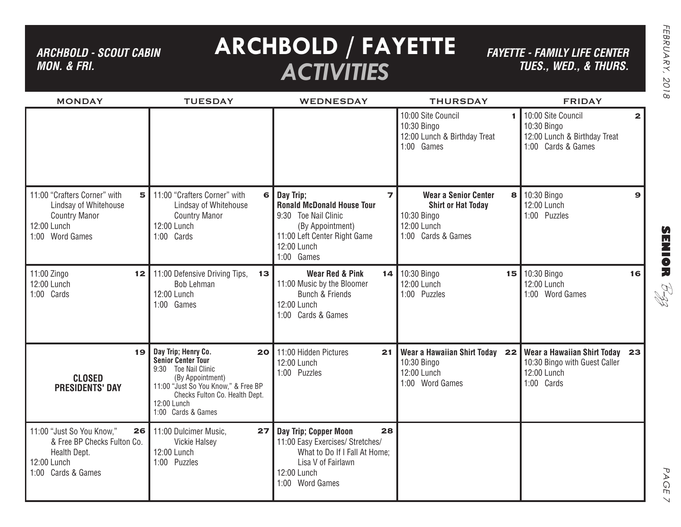## *ARCHBOLD - SCOUT CABIN MON. & FRI.*

# **ARCHBOLD / FAYETTE** *ACTIVITIES*

*FAYETTE - FAMILY LIFE CENTER TUES., Wed., & THURS.*

| <b>MONDAY</b>                                                                                                        | <b>TUESDAY</b>                                                                                                                                                                                                    | <b>WEDNESDAY</b>                                                                                                                                                          | <b>THURSDAY</b>                                                                                                   | <b>FRIDAY</b>                                                                                             |
|----------------------------------------------------------------------------------------------------------------------|-------------------------------------------------------------------------------------------------------------------------------------------------------------------------------------------------------------------|---------------------------------------------------------------------------------------------------------------------------------------------------------------------------|-------------------------------------------------------------------------------------------------------------------|-----------------------------------------------------------------------------------------------------------|
|                                                                                                                      |                                                                                                                                                                                                                   |                                                                                                                                                                           | 10:00 Site Council<br>10:30 Bingo<br>12:00 Lunch & Birthday Treat<br>1:00 Games                                   | 10:00 Site Council<br>$\overline{2}$<br>10:30 Bingo<br>12:00 Lunch & Birthday Treat<br>1:00 Cards & Games |
| 11:00 "Crafters Corner" with<br>5<br>Lindsay of Whitehouse<br><b>Country Manor</b><br>12:00 Lunch<br>1:00 Word Games | 11:00 "Crafters Corner" with<br>$6 \mid$<br>Lindsay of Whitehouse<br><b>Country Manor</b><br>12:00 Lunch<br>1:00 Cards                                                                                            | Day Trip;<br>$\overline{z}$<br><b>Ronald McDonald House Tour</b><br>9:30 Toe Nail Clinic<br>(By Appointment)<br>11:00 Left Center Right Game<br>12:00 Lunch<br>1:00 Games | <b>Wear a Senior Center</b><br>8<br><b>Shirt or Hat Today</b><br>10:30 Bingo<br>12:00 Lunch<br>1:00 Cards & Games | 10:30 Bingo<br>$\mathbf{9}$<br>12:00 Lunch<br>1:00 Puzzles                                                |
| 11:00 Zingo<br>12 I<br>12:00 Lunch<br>1:00 Cards                                                                     | 11:00 Defensive Driving Tips,<br>13<br><b>Bob Lehman</b><br>12:00 Lunch<br>1:00 Games                                                                                                                             | <b>Wear Red &amp; Pink</b><br>11:00 Music by the Bloomer<br><b>Bunch &amp; Friends</b><br>12:00 Lunch<br>1:00 Cards & Games                                               | 14 10:30 Bingo<br>12:00 Lunch<br>1:00 Puzzles                                                                     | 15 10:30 Bingo<br>16<br>12:00 Lunch<br>1:00 Word Games                                                    |
| 19<br><b>CLOSED</b><br><b>PRESIDENTS' DAY</b>                                                                        | Day Trip; Henry Co.<br>20 <br><b>Senior Center Tour</b><br>9:30 Toe Nail Clinic<br>(By Appointment)<br>11:00 "Just So You Know," & Free BP<br>Checks Fulton Co. Health Dept.<br>12:00 Lunch<br>1:00 Cards & Games | 11:00 Hidden Pictures<br>21<br>12:00 Lunch<br>1:00 Puzzles                                                                                                                | Wear a Hawaiian Shirt Today 22<br>10:30 Bingo<br>12:00 Lunch<br>1:00 Word Games                                   | <b>Wear a Hawaiian Shirt Today</b><br>23<br>10:30 Bingo with Guest Caller<br>12:00 Lunch<br>1:00 Cards    |
| 11:00 "Just So You Know,"<br>26 <br>& Free BP Checks Fulton Co.<br>Health Dept.<br>12:00 Lunch<br>1:00 Cards & Games | 11:00 Dulcimer Music,<br>27 <sub>1</sub><br>Vickie Halsey<br>12:00 Lunch<br>1:00 Puzzles                                                                                                                          | Day Trip; Copper Moon<br>28<br>11:00 Easy Exercises/ Stretches/<br>What to Do If I Fall At Home;<br>Lisa V of Fairlawn<br>12:00 Lunch<br>1:00 Word Games                  |                                                                                                                   |                                                                                                           |

**SENIOR** B-zz